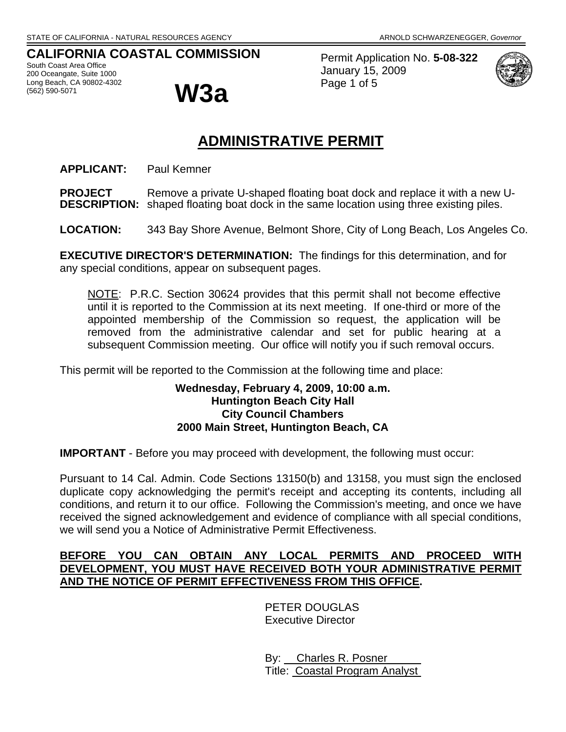# **CALIFORNIA COASTAL COMMISSION**

South Coast Area Office 200 Oceangate, Suite 1000 Long Beach, CA 90802-4302 (562) 590-5071 **W3a**

Permit Application No. **5-08-322** January 15, 2009 Page 1 of 5



# **ADMINISTRATIVE PERMIT**

**APPLICANT:** Paul Kemner

**PROJECT** Remove a private U-shaped floating boat dock and replace it with a new U-**DESCRIPTION:** shaped floating boat dock in the same location using three existing piles.

**LOCATION:** 343 Bay Shore Avenue, Belmont Shore, City of Long Beach, Los Angeles Co.

**EXECUTIVE DIRECTOR'S DETERMINATION:** The findings for this determination, and for any special conditions, appear on subsequent pages.

NOTE: P.R.C. Section 30624 provides that this permit shall not become effective until it is reported to the Commission at its next meeting. If one-third or more of the appointed membership of the Commission so request, the application will be removed from the administrative calendar and set for public hearing at a subsequent Commission meeting. Our office will notify you if such removal occurs.

This permit will be reported to the Commission at the following time and place:

### **Wednesday, February 4, 2009, 10:00 a.m. Huntington Beach City Hall City Council Chambers 2000 Main Street, Huntington Beach, CA**

**IMPORTANT** - Before you may proceed with development, the following must occur:

Pursuant to 14 Cal. Admin. Code Sections 13150(b) and 13158, you must sign the enclosed duplicate copy acknowledging the permit's receipt and accepting its contents, including all conditions, and return it to our office. Following the Commission's meeting, and once we have received the signed acknowledgement and evidence of compliance with all special conditions, we will send you a Notice of Administrative Permit Effectiveness.

### **BEFORE YOU CAN OBTAIN ANY LOCAL PERMITS AND PROCEED WITH DEVELOPMENT, YOU MUST HAVE RECEIVED BOTH YOUR ADMINISTRATIVE PERMIT AND THE NOTICE OF PERMIT EFFECTIVENESS FROM THIS OFFICE.**

PETER DOUGLAS Executive Director

 By: Charles R. Posner Title: Coastal Program Analyst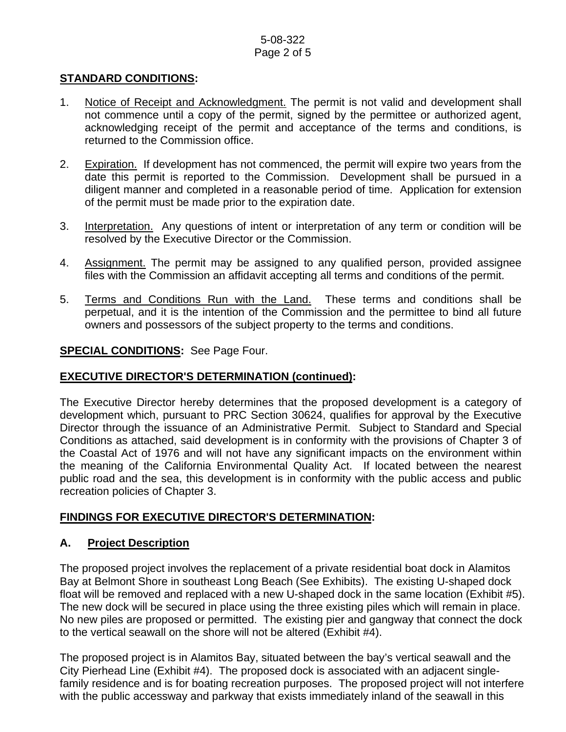### 5-08-322 Page 2 of 5

## **STANDARD CONDITIONS:**

- 1. Notice of Receipt and Acknowledgment. The permit is not valid and development shall not commence until a copy of the permit, signed by the permittee or authorized agent, acknowledging receipt of the permit and acceptance of the terms and conditions, is returned to the Commission office.
- 2. Expiration. If development has not commenced, the permit will expire two years from the date this permit is reported to the Commission. Development shall be pursued in a diligent manner and completed in a reasonable period of time. Application for extension of the permit must be made prior to the expiration date.
- 3. Interpretation. Any questions of intent or interpretation of any term or condition will be resolved by the Executive Director or the Commission.
- 4. Assignment. The permit may be assigned to any qualified person, provided assignee files with the Commission an affidavit accepting all terms and conditions of the permit.
- 5. Terms and Conditions Run with the Land. These terms and conditions shall be perpetual, and it is the intention of the Commission and the permittee to bind all future owners and possessors of the subject property to the terms and conditions.

### **SPECIAL CONDITIONS:** See Page Four.

### **EXECUTIVE DIRECTOR'S DETERMINATION (continued):**

The Executive Director hereby determines that the proposed development is a category of development which, pursuant to PRC Section 30624, qualifies for approval by the Executive Director through the issuance of an Administrative Permit. Subject to Standard and Special Conditions as attached, said development is in conformity with the provisions of Chapter 3 of the Coastal Act of 1976 and will not have any significant impacts on the environment within the meaning of the California Environmental Quality Act. If located between the nearest public road and the sea, this development is in conformity with the public access and public recreation policies of Chapter 3.

### **FINDINGS FOR EXECUTIVE DIRECTOR'S DETERMINATION:**

### **A. Project Description**

The proposed project involves the replacement of a private residential boat dock in Alamitos Bay at Belmont Shore in southeast Long Beach (See Exhibits). The existing U-shaped dock float will be removed and replaced with a new U-shaped dock in the same location (Exhibit #5). The new dock will be secured in place using the three existing piles which will remain in place. No new piles are proposed or permitted. The existing pier and gangway that connect the dock to the vertical seawall on the shore will not be altered (Exhibit #4).

The proposed project is in Alamitos Bay, situated between the bay's vertical seawall and the City Pierhead Line (Exhibit #4). The proposed dock is associated with an adjacent singlefamily residence and is for boating recreation purposes. The proposed project will not interfere with the public accessway and parkway that exists immediately inland of the seawall in this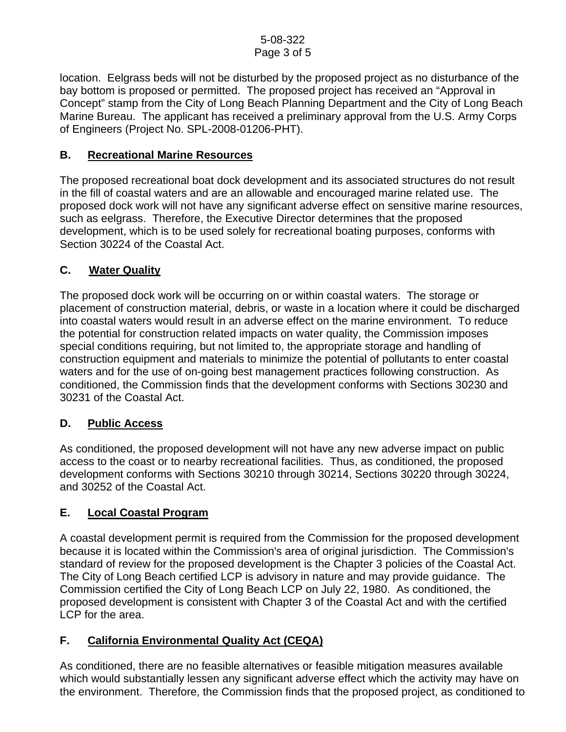location. Eelgrass beds will not be disturbed by the proposed project as no disturbance of the bay bottom is proposed or permitted. The proposed project has received an "Approval in Concept" stamp from the City of Long Beach Planning Department and the City of Long Beach Marine Bureau. The applicant has received a preliminary approval from the U.S. Army Corps of Engineers (Project No. SPL-2008-01206-PHT).

# **B. Recreational Marine Resources**

The proposed recreational boat dock development and its associated structures do not result in the fill of coastal waters and are an allowable and encouraged marine related use. The proposed dock work will not have any significant adverse effect on sensitive marine resources, such as eelgrass. Therefore, the Executive Director determines that the proposed development, which is to be used solely for recreational boating purposes, conforms with Section 30224 of the Coastal Act.

# **C. Water Quality**

The proposed dock work will be occurring on or within coastal waters. The storage or placement of construction material, debris, or waste in a location where it could be discharged into coastal waters would result in an adverse effect on the marine environment. To reduce the potential for construction related impacts on water quality, the Commission imposes special conditions requiring, but not limited to, the appropriate storage and handling of construction equipment and materials to minimize the potential of pollutants to enter coastal waters and for the use of on-going best management practices following construction. As conditioned, the Commission finds that the development conforms with Sections 30230 and 30231 of the Coastal Act.

# **D. Public Access**

As conditioned, the proposed development will not have any new adverse impact on public access to the coast or to nearby recreational facilities. Thus, as conditioned, the proposed development conforms with Sections 30210 through 30214, Sections 30220 through 30224, and 30252 of the Coastal Act.

# **E. Local Coastal Program**

A coastal development permit is required from the Commission for the proposed development because it is located within the Commission's area of original jurisdiction. The Commission's standard of review for the proposed development is the Chapter 3 policies of the Coastal Act. The City of Long Beach certified LCP is advisory in nature and may provide guidance. The Commission certified the City of Long Beach LCP on July 22, 1980. As conditioned, the proposed development is consistent with Chapter 3 of the Coastal Act and with the certified LCP for the area.

# **F. California Environmental Quality Act (CEQA)**

As conditioned, there are no feasible alternatives or feasible mitigation measures available which would substantially lessen any significant adverse effect which the activity may have on the environment. Therefore, the Commission finds that the proposed project, as conditioned to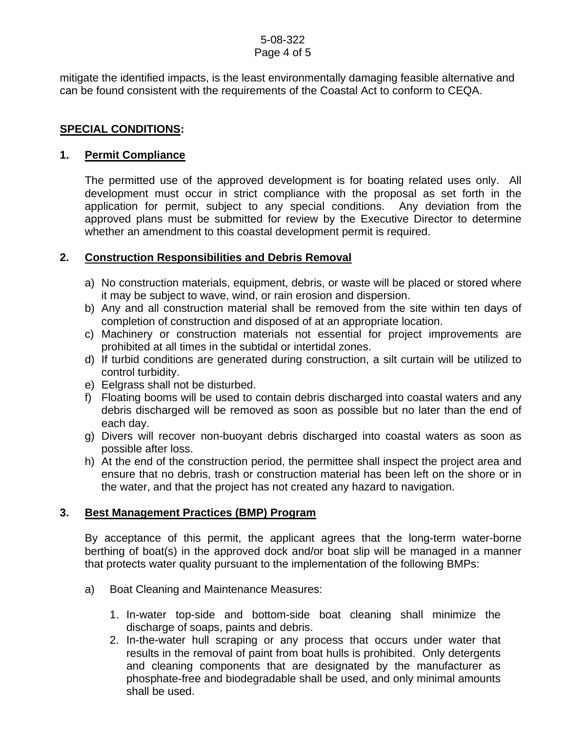# 5-08-322

Page 4 of 5

mitigate the identified impacts, is the least environmentally damaging feasible alternative and can be found consistent with the requirements of the Coastal Act to conform to CEQA.

# **SPECIAL CONDITIONS:**

### **1. Permit Compliance**

 The permitted use of the approved development is for boating related uses only. All development must occur in strict compliance with the proposal as set forth in the application for permit, subject to any special conditions. Any deviation from the approved plans must be submitted for review by the Executive Director to determine whether an amendment to this coastal development permit is required.

## **2. Construction Responsibilities and Debris Removal**

- a) No construction materials, equipment, debris, or waste will be placed or stored where it may be subject to wave, wind, or rain erosion and dispersion.
- b) Any and all construction material shall be removed from the site within ten days of completion of construction and disposed of at an appropriate location.
- c) Machinery or construction materials not essential for project improvements are prohibited at all times in the subtidal or intertidal zones.
- d) If turbid conditions are generated during construction, a silt curtain will be utilized to control turbidity.
- e) Eelgrass shall not be disturbed.
- f) Floating booms will be used to contain debris discharged into coastal waters and any debris discharged will be removed as soon as possible but no later than the end of each day.
- g) Divers will recover non-buoyant debris discharged into coastal waters as soon as possible after loss.
- h) At the end of the construction period, the permittee shall inspect the project area and ensure that no debris, trash or construction material has been left on the shore or in the water, and that the project has not created any hazard to navigation.

# **3. Best Management Practices (BMP) Program**

By acceptance of this permit, the applicant agrees that the long-term water-borne berthing of boat(s) in the approved dock and/or boat slip will be managed in a manner that protects water quality pursuant to the implementation of the following BMPs:

- a) Boat Cleaning and Maintenance Measures:
	- 1. In-water top-side and bottom-side boat cleaning shall minimize the discharge of soaps, paints and debris.
	- 2. In-the-water hull scraping or any process that occurs under water that results in the removal of paint from boat hulls is prohibited. Only detergents and cleaning components that are designated by the manufacturer as phosphate-free and biodegradable shall be used, and only minimal amounts shall be used.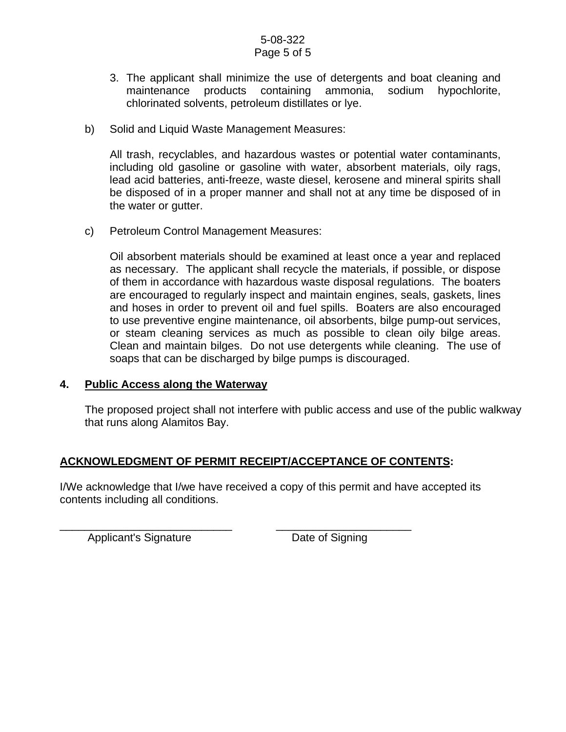#### 5-08-322 Page 5 of 5

- 3. The applicant shall minimize the use of detergents and boat cleaning and maintenance products containing ammonia, sodium hypochlorite, chlorinated solvents, petroleum distillates or lye.
- b) Solid and Liquid Waste Management Measures:

All trash, recyclables, and hazardous wastes or potential water contaminants, including old gasoline or gasoline with water, absorbent materials, oily rags, lead acid batteries, anti-freeze, waste diesel, kerosene and mineral spirits shall be disposed of in a proper manner and shall not at any time be disposed of in the water or gutter.

c) Petroleum Control Management Measures:

Oil absorbent materials should be examined at least once a year and replaced as necessary. The applicant shall recycle the materials, if possible, or dispose of them in accordance with hazardous waste disposal regulations. The boaters are encouraged to regularly inspect and maintain engines, seals, gaskets, lines and hoses in order to prevent oil and fuel spills. Boaters are also encouraged to use preventive engine maintenance, oil absorbents, bilge pump-out services, or steam cleaning services as much as possible to clean oily bilge areas. Clean and maintain bilges. Do not use detergents while cleaning. The use of soaps that can be discharged by bilge pumps is discouraged.

### **4. Public Access along the Waterway**

The proposed project shall not interfere with public access and use of the public walkway that runs along Alamitos Bay.

# **ACKNOWLEDGMENT OF PERMIT RECEIPT/ACCEPTANCE OF CONTENTS:**

I/We acknowledge that I/we have received a copy of this permit and have accepted its contents including all conditions.

\_\_\_\_\_\_\_\_\_\_\_\_\_\_\_\_\_\_\_\_\_\_\_\_\_\_\_\_ \_\_\_\_\_\_\_\_\_\_\_\_\_\_\_\_\_\_\_\_\_\_ Applicant's Signature Date of Signing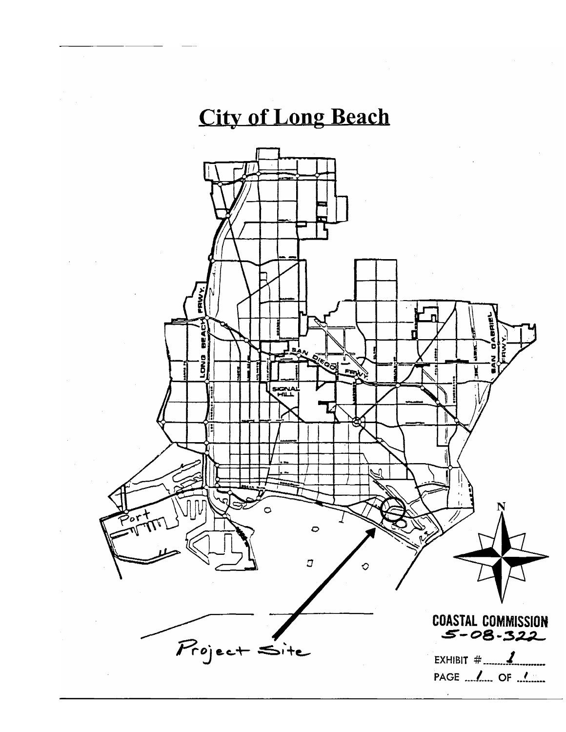# **City of Long Beach**

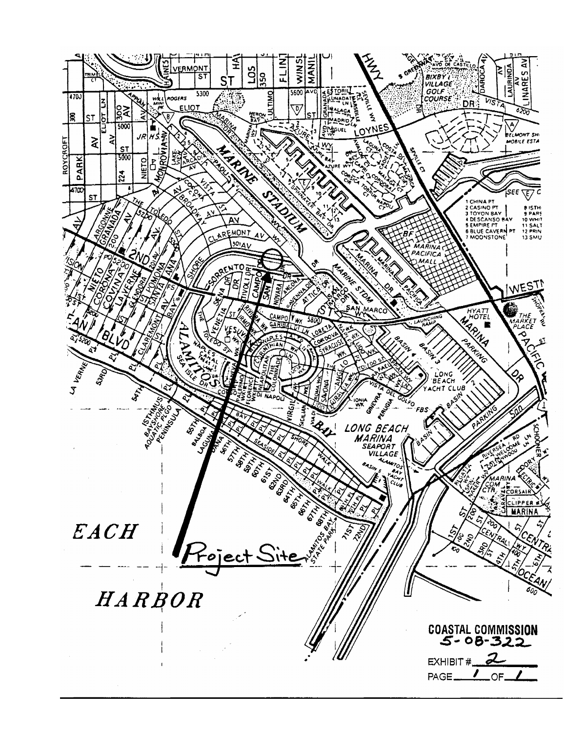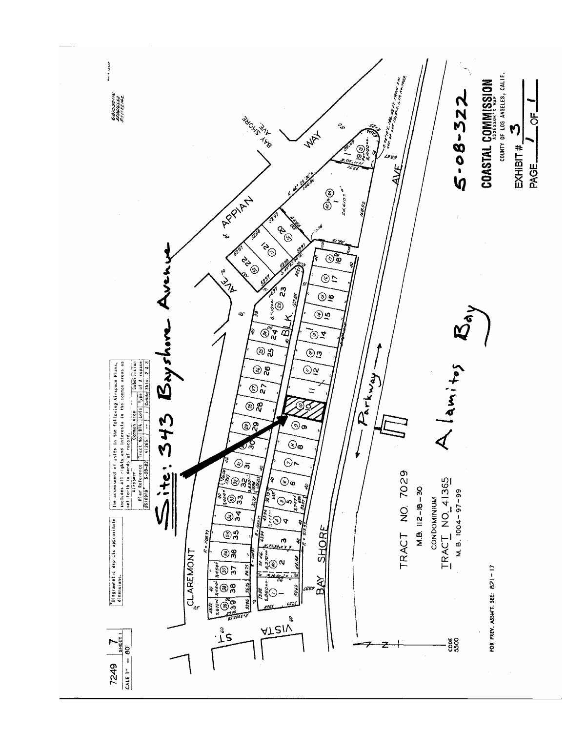![](_page_7_Picture_0.jpeg)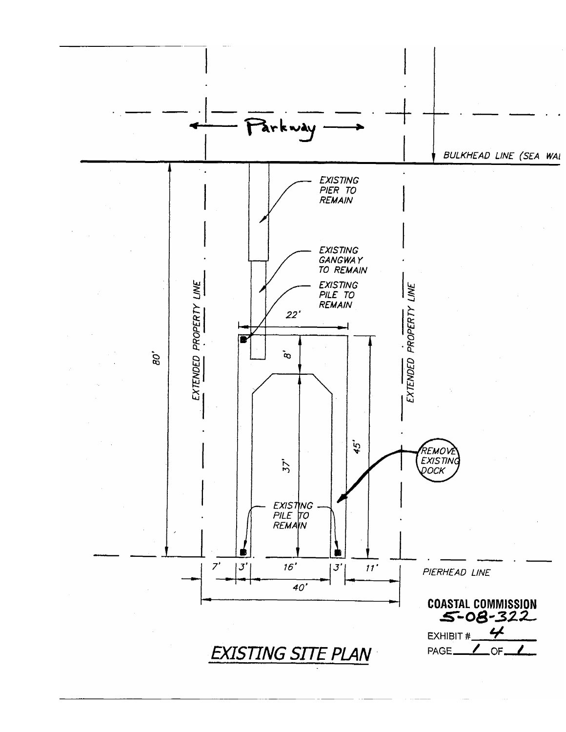![](_page_8_Figure_0.jpeg)